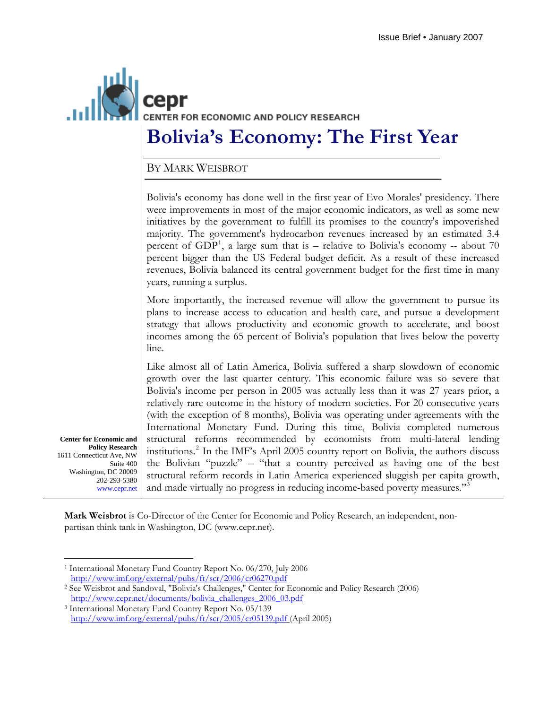

## **Bolivia's Economy: The First Year**

BY MARK WEISBROT

Bolivia's economy has done well in the first year of Evo Morales' presidency. There were improvements in most of the major economic indicators, as well as some new initiatives by the government to fulfill its promises to the country's impoverished majority. The government's hydrocarbon revenues increased by an estimated 3.4 percent of  $GDP<sup>1</sup>$  $GDP<sup>1</sup>$  $GDP<sup>1</sup>$ , a large sum that is – relative to Bolivia's economy -- about 70 percent bigger than the US Federal budget deficit. As a result of these increased revenues, Bolivia balanced its central government budget for the first time in many years, running a surplus.

More importantly, the increased revenue will allow the government to pursue its plans to increase access to education and health care, and pursue a development strategy that allows productivity and economic growth to accelerate, and boost incomes among the 65 percent of Bolivia's population that lives below the poverty line.

Like almost all of Latin America, Bolivia suffered a sharp slowdown of economic growth over the last quarter century. This economic failure was so severe that Bolivia's income per person in 2005 was actually less than it was 27 years prior, a relatively rare outcome in the history of modern societies. For 20 consecutive years (with the exception of 8 months), Bolivia was operating under agreements with the International Monetary Fund. During this time, Bolivia completed numerous structural reforms recommended by economists from multi-lateral lending institutions.[2](#page-0-1) In the IMF's April 2005 country report on Bolivia, the authors discuss the Bolivian "puzzle" – "that a country perceived as having one of the best structural reform records in Latin America experienced sluggish per capita growth, and made virtually no progress in reducing income-based poverty measures."<sup>[3](#page-0-2)</sup>

**Center for Economic and Policy Research**  1611 Connecticut Ave, NW Suite 400 Washington, DC 20009 202-293-5380 www.cepr.net

**Mark Weisbrot** is Co-Director of the Center for Economic and Policy Research, an independent, nonpartisan think tank in Washington, DC ([www.cepr.net](http://www.cepr.net/)).

 $\overline{a}$ 1 International Monetary Fund Country Report No. 06/270, July 2006

<span id="page-0-1"></span><span id="page-0-0"></span>http://www.imf.org/external/pubs/ft/scr/2006/cr06270.pdf<br>
<sup>2</sup> See Weisbrot and Sandoval, "Bolivia's Challenges," Center for Economic and Policy Research (2006) [http://www.cepr.net/documents/bolivia\\_challenges\\_2006\\_03.pdf](http://www.cepr.net/documents/bolivia_challenges_2006_03.pdf)

<span id="page-0-2"></span><sup>3</sup> International Monetary Fund Country Report No. 05/139

<http://www.imf.org/external/pubs/ft/scr/2005/cr05139.pdf> (April 2005)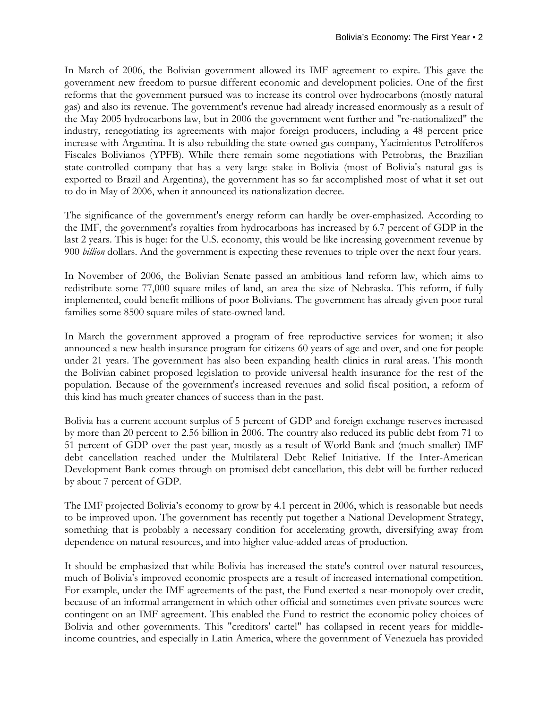In March of 2006, the Bolivian government allowed its IMF agreement to expire. This gave the government new freedom to pursue different economic and development policies. One of the first reforms that the government pursued was to increase its control over hydrocarbons (mostly natural gas) and also its revenue. The government's revenue had already increased enormously as a result of the May 2005 hydrocarbons law, but in 2006 the government went further and "re-nationalized" the industry, renegotiating its agreements with major foreign producers, including a 48 percent price increase with Argentina. It is also rebuilding the state-owned gas company, Yacimientos Petrolíferos Fiscales Bolivianos (YPFB). While there remain some negotiations with Petrobras, the Brazilian state-controlled company that has a very large stake in Bolivia (most of Bolivia's natural gas is exported to Brazil and Argentina), the government has so far accomplished most of what it set out to do in May of 2006, when it announced its nationalization decree.

The significance of the government's energy reform can hardly be over-emphasized. According to the IMF, the government's royalties from hydrocarbons has increased by 6.7 percent of GDP in the last 2 years. This is huge: for the U.S. economy, this would be like increasing government revenue by 900 *billion* dollars. And the government is expecting these revenues to triple over the next four years.

In November of 2006, the Bolivian Senate passed an ambitious land reform law, which aims to redistribute some 77,000 square miles of land, an area the size of Nebraska. This reform, if fully implemented, could benefit millions of poor Bolivians. The government has already given poor rural families some 8500 square miles of state-owned land.

In March the government approved a program of free reproductive services for women; it also announced a new health insurance program for citizens 60 years of age and over, and one for people under 21 years. The government has also been expanding health clinics in rural areas. This month the Bolivian cabinet proposed legislation to provide universal health insurance for the rest of the population. Because of the government's increased revenues and solid fiscal position, a reform of this kind has much greater chances of success than in the past.

Bolivia has a current account surplus of 5 percent of GDP and foreign exchange reserves increased by more than 20 percent to 2.56 billion in 2006. The country also reduced its public debt from 71 to 51 percent of GDP over the past year, mostly as a result of World Bank and (much smaller) IMF debt cancellation reached under the Multilateral Debt Relief Initiative. If the Inter-American Development Bank comes through on promised debt cancellation, this debt will be further reduced by about 7 percent of GDP.

The IMF projected Bolivia's economy to grow by 4.1 percent in 2006, which is reasonable but needs to be improved upon. The government has recently put together a National Development Strategy, something that is probably a necessary condition for accelerating growth, diversifying away from dependence on natural resources, and into higher value-added areas of production.

It should be emphasized that while Bolivia has increased the state's control over natural resources, much of Bolivia's improved economic prospects are a result of increased international competition. For example, under the IMF agreements of the past, the Fund exerted a near-monopoly over credit, because of an informal arrangement in which other official and sometimes even private sources were contingent on an IMF agreement. This enabled the Fund to restrict the economic policy choices of Bolivia and other governments. This "creditors' cartel" has collapsed in recent years for middleincome countries, and especially in Latin America, where the government of Venezuela has provided